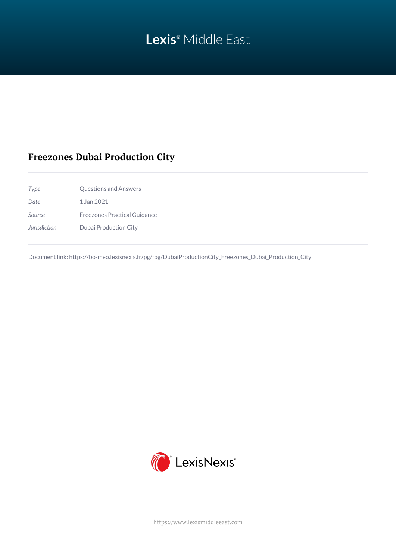# **Lexis®** Middle East

## **Freezones Dubai Production City**

*Type* Questions and Answers *Date* 1 Jan 2021 *Source* Freezones Practical Guidance *Jurisdiction* Dubai Production City

Document link: [https://bo-meo.lexisnexis.fr/pg/fpg/DubaiProductionCity\\_Freezones\\_Dubai\\_Production\\_City](https://bo-meo.lexisnexis.fr/pg/fpg/DubaiProductionCity_Freezones_Dubai_Production_City)



<https://www.lexismiddleeast.com>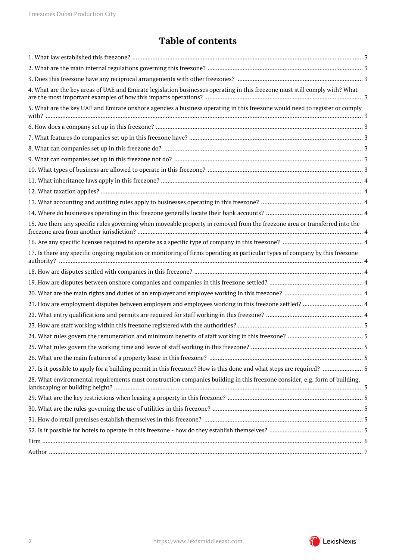## **Table of contents**

| 4. What are the key areas of UAE and Emirate legislation businesses operating in this freezone must still comply with? What   |  |
|-------------------------------------------------------------------------------------------------------------------------------|--|
| 5. What are the key UAE and Emirate onshore agencies a business operating in this freezone would need to register or comply   |  |
|                                                                                                                               |  |
|                                                                                                                               |  |
|                                                                                                                               |  |
|                                                                                                                               |  |
|                                                                                                                               |  |
|                                                                                                                               |  |
|                                                                                                                               |  |
|                                                                                                                               |  |
|                                                                                                                               |  |
|                                                                                                                               |  |
| 15. Are there any specific rules governing when moveable property in removed from the freezone area or transferred into the   |  |
|                                                                                                                               |  |
| 17. Is there any specific ongoing regulation or monitoring of firms operating as particular types of company by this freezone |  |
|                                                                                                                               |  |
|                                                                                                                               |  |
|                                                                                                                               |  |
|                                                                                                                               |  |
|                                                                                                                               |  |
|                                                                                                                               |  |
|                                                                                                                               |  |
|                                                                                                                               |  |
|                                                                                                                               |  |
|                                                                                                                               |  |
| 28. What environmental requirements must construction companies building in this freezone consider, e.g. form of building,    |  |
|                                                                                                                               |  |
|                                                                                                                               |  |
|                                                                                                                               |  |
|                                                                                                                               |  |
|                                                                                                                               |  |
|                                                                                                                               |  |
|                                                                                                                               |  |

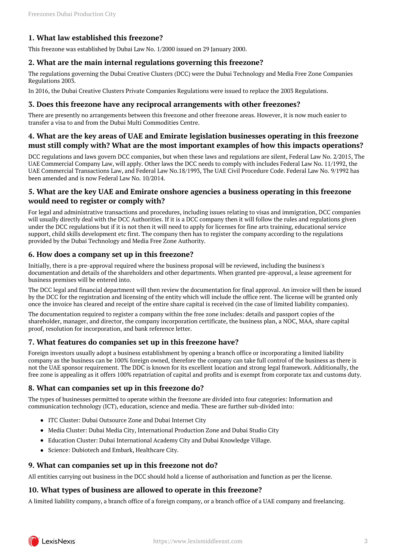## <span id="page-2-0"></span>**1. What law established this freezone?**

This freezone was established by Dubai Law No. 1/2000 issued on 29 January 2000.

#### <span id="page-2-1"></span>**2. What are the main internal regulations governing this freezone?**

The regulations governing the Dubai Creative Clusters (DCC) were the Dubai Technology and Media Free Zone Companies Regulations 2003.

In 2016, the Dubai Creative Clusters Private Companies Regulations were issued to replace the 2003 Regulations.

#### <span id="page-2-2"></span>**3. Does this freezone have any reciprocal arrangements with other freezones?**

There are presently no arrangements between this freezone and other freezone areas. However, it is now much easier to transfer a visa to and from the Dubai Multi Commodities Centre.

### <span id="page-2-3"></span>**4. What are the key areas of UAE and Emirate legislation businesses operating in this freezone must still comply with? What are the most important examples of how this impacts operations?**

DCC regulations and laws govern DCC companies, but when these laws and regulations are silent, Federal Law No. 2/2015, The UAE Commercial Company Law, will apply. Other laws the DCC needs to comply with includes Federal Law No. 11/1992, the UAE Commercial Transactions Law, and Federal Law No.18/1993, The UAE Civil Procedure Code. Federal Law No. 9/1992 has been amended and is now Federal Law No. 10/2014.

## <span id="page-2-4"></span>**5. What are the key UAE and Emirate onshore agencies a business operating in this freezone would need to register or comply with?**

For legal and administrative transactions and procedures, including issues relating to visas and immigration, DCC companies will usually directly deal with the DCC Authorities. If it is a DCC company then it will follow the rules and regulations given under the DCC regulations but if it is not then it will need to apply for licenses for fine arts training, educational service support, child skills development etc first. The company then has to register the company according to the regulations provided by the Dubai Technology and Media Free Zone Authority.

#### <span id="page-2-5"></span>**6. How does a company set up in this freezone?**

Initially, there is a pre-approval required where the business proposal will be reviewed, including the business's documentation and details of the shareholders and other departments. When granted pre-approval, a lease agreement for business premises will be entered into.

The DCC legal and financial department will then review the documentation for final approval. An invoice will then be issued by the DCC for the registration and licensing of the entity which will include the office rent. The license will be granted only once the invoice has cleared and receipt of the entire share capital is received (in the case of limited liability companies).

The documentation required to register a company within the free zone includes: details and passport copies of the shareholder, manager, and director, the company incorporation certificate, the business plan, a NOC, MAA, share capital proof, resolution for incorporation, and bank reference letter.

## <span id="page-2-6"></span>**7. What features do companies set up in this freezone have?**

Foreign investors usually adopt a business establishment by opening a branch office or incorporating a limited liability company as the business can be 100% foreign owned, therefore the company can take full control of the business as there is not the UAE sponsor requirement. The DDC is known for its excellent location and strong legal framework. Additionally, the free zone is appealing as it offers 100% repatriation of capital and profits and is exempt from corporate tax and customs duty.

## <span id="page-2-7"></span>**8. What can companies set up in this freezone do?**

The types of businesses permitted to operate within the freezone are divided into four categories: Information and communication technology (ICT), education, science and media. These are further sub-divided into:

- ITC Cluster: Dubai Outsource Zone and Dubai Internet City
- Media Cluster: Dubai Media City, International Production Zone and Dubai Studio City
- Education Cluster: Dubai International Academy City and Dubai Knowledge Village.
- Science: Dubiotech and Embark, Healthcare City.

#### <span id="page-2-8"></span>**9. What can companies set up in this freezone not do?**

All entities carrying out business in the DCC should hold a license of authorisation and function as per the license.

#### <span id="page-2-9"></span>**10. What types of business are allowed to operate in this freezone?**

A limited liability company, a branch office of a foreign company, or a branch office of a UAE company and freelancing.

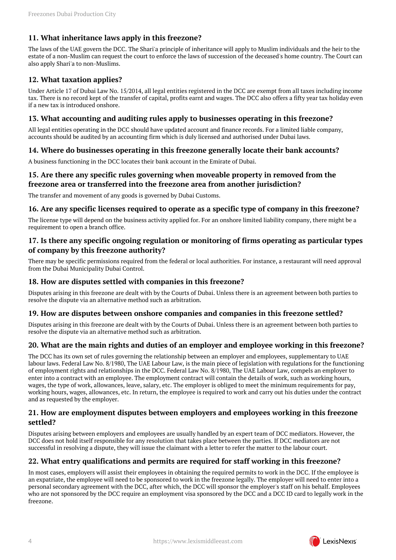## <span id="page-3-0"></span>**11. What inheritance laws apply in this freezone?**

The laws of the UAE govern the DCC. The Shari'a principle of inheritance will apply to Muslim individuals and the heir to the estate of a non-Muslim can request the court to enforce the laws of succession of the deceased's home country. The Court can also apply Shari'a to non-Muslims.

## <span id="page-3-1"></span>**12. What taxation applies?**

Under Article 17 of Dubai Law No. 15/2014, all legal entities registered in the DCC are exempt from all taxes including income tax. There is no record kept of the transfer of capital, profits earnt and wages. The DCC also offers a fifty year tax holiday even if a new tax is introduced onshore.

#### <span id="page-3-2"></span>**13. What accounting and auditing rules apply to businesses operating in this freezone?**

All legal entities operating in the DCC should have updated account and finance records. For a limited liable company, accounts should be audited by an accounting firm which is duly licensed and authorised under Dubai laws.

## <span id="page-3-3"></span>**14. Where do businesses operating in this freezone generally locate their bank accounts?**

A business functioning in the DCC locates their bank account in the Emirate of Dubai.

## <span id="page-3-4"></span>**15. Are there any specific rules governing when moveable property in removed from the freezone area or transferred into the freezone area from another jurisdiction?**

The transfer and movement of any goods is governed by Dubai Customs.

#### <span id="page-3-5"></span>**16. Are any specific licenses required to operate as a specific type of company in this freezone?**

The license type will depend on the business activity applied for. For an onshore limited liability company, there might be a requirement to open a branch office.

## <span id="page-3-6"></span>**17. Is there any specific ongoing regulation or monitoring of firms operating as particular types of company by this freezone authority?**

There may be specific permissions required from the federal or local authorities. For instance, a restaurant will need approval from the Dubai Municipality Dubai Control.

## <span id="page-3-7"></span>**18. How are disputes settled with companies in this freezone?**

Disputes arising in this freezone are dealt with by the Courts of Dubai. Unless there is an agreement between both parties to resolve the dispute via an alternative method such as arbitration.

#### <span id="page-3-8"></span>**19. How are disputes between onshore companies and companies in this freezone settled?**

Disputes arising in this freezone are dealt with by the Courts of Dubai. Unless there is an agreement between both parties to resolve the dispute via an alternative method such as arbitration.

## <span id="page-3-9"></span>**20. What are the main rights and duties of an employer and employee working in this freezone?**

The DCC has its own set of rules governing the relationship between an employer and employees, supplementary to UAE labour laws. Federal Law No. 8/1980, The UAE Labour Law, is the main piece of legislation with regulations for the functioning of employment rights and relationships in the DCC. Federal Law No. 8/1980, The UAE Labour Law, compels an employer to enter into a contract with an employee. The employment contract will contain the details of work, such as working hours, wages, the type of work, allowances, leave, salary, etc. The employer is obliged to meet the minimum requirements for pay, working hours, wages, allowances, etc. In return, the employee is required to work and carry out his duties under the contract and as requested by the employer.

#### <span id="page-3-10"></span>**21. How are employment disputes between employers and employees working in this freezone settled?**

Disputes arising between employers and employees are usually handled by an expert team of DCC mediators. However, the DCC does not hold itself responsible for any resolution that takes place between the parties. If DCC mediators are not successful in resolving a dispute, they will issue the claimant with a letter to refer the matter to the labour court.

## <span id="page-3-11"></span>**22. What entry qualifications and permits are required for staff working in this freezone?**

In most cases, employers will assist their employees in obtaining the required permits to work in the DCC. If the employee is an expatriate, the employee will need to be sponsored to work in the freezone legally. The employer will need to enter into a personal secondary agreement with the DCC, after which, the DCC will sponsor the employer's staff on his behalf. Employees who are not sponsored by the DCC require an employment visa sponsored by the DCC and a DCC ID card to legally work in the freezone.

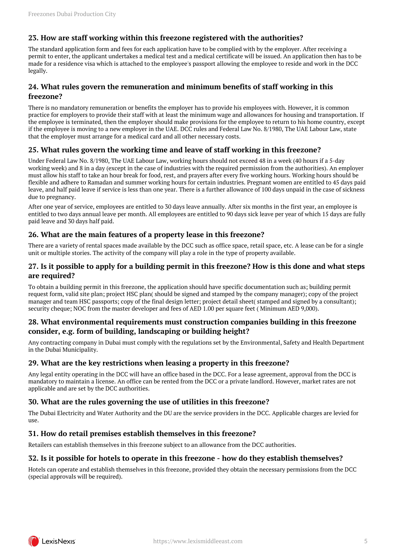## <span id="page-4-0"></span>**23. How are staff working within this freezone registered with the authorities?**

The standard application form and fees for each application have to be complied with by the employer. After receiving a permit to enter, the applicant undertakes a medical test and a medical certificate will be issued. An application then has to be made for a residence visa which is attached to the employee's passport allowing the employee to reside and work in the DCC legally.

## <span id="page-4-1"></span>**24. What rules govern the remuneration and minimum benefits of staff working in this freezone?**

There is no mandatory remuneration or benefits the employer has to provide his employees with. However, it is common practice for employers to provide their staff with at least the minimum wage and allowances for housing and transportation. If the employee is terminated, then the employer should make provisions for the employee to return to his home country, except if the employee is moving to a new employer in the UAE. DCC rules and Federal Law No. 8/1980, The UAE Labour Law, state that the employer must arrange for a medical card and all other necessary costs.

#### <span id="page-4-2"></span>**25. What rules govern the working time and leave of staff working in this freezone?**

Under Federal Law No. 8/1980, The UAE Labour Law, working hours should not exceed 48 in a week (40 hours if a 5-day working week) and 8 in a day (except in the case of industries with the required permission from the authorities). An employer must allow his staff to take an hour break for food, rest, and prayers after every five working hours. Working hours should be flexible and adhere to Ramadan and summer working hours for certain industries. Pregnant women are entitled to 45 days paid leave, and half paid leave if service is less than one year. There is a further allowance of 100 days unpaid in the case of sickness due to pregnancy.

After one year of service, employees are entitled to 30 days leave annually. After six months in the first year, an employee is entitled to two days annual leave per month. All employees are entitled to 90 days sick leave per year of which 15 days are fully paid leave and 30 days half paid.

## <span id="page-4-3"></span>**26. What are the main features of a property lease in this freezone?**

There are a variety of rental spaces made available by the DCC such as office space, retail space, etc. A lease can be for a single unit or multiple stories. The activity of the company will play a role in the type of property available.

#### <span id="page-4-4"></span>**27. Is it possible to apply for a building permit in this freezone? How is this done and what steps are required?**

To obtain a building permit in this freezone, the application should have specific documentation such as; building permit request form, valid site plan; project HSC plan( should be signed and stamped by the company manager); copy of the project manager and team HSC passports; copy of the final design letter; project detail sheet( stamped and signed by a consultant); security cheque; NOC from the master developer and fees of AED 1.00 per square feet ( Minimum AED 9,000).

#### <span id="page-4-5"></span>**28. What environmental requirements must construction companies building in this freezone consider, e.g. form of building, landscaping or building height?**

Any contracting company in Dubai must comply with the regulations set by the Environmental, Safety and Health Department in the Dubai Municipality.

#### <span id="page-4-6"></span>**29. What are the key restrictions when leasing a property in this freezone?**

Any legal entity operating in the DCC will have an office based in the DCC. For a lease agreement, approval from the DCC is mandatory to maintain a license. An office can be rented from the DCC or a private landlord. However, market rates are not applicable and are set by the DCC authorities.

## <span id="page-4-7"></span>**30. What are the rules governing the use of utilities in this freezone?**

The Dubai Electricity and Water Authority and the DU are the service providers in the DCC. Applicable charges are levied for use.

#### <span id="page-4-8"></span>**31. How do retail premises establish themselves in this freezone?**

Retailers can establish themselves in this freezone subject to an allowance from the DCC authorities.

#### <span id="page-4-9"></span>**32. Is it possible for hotels to operate in this freezone - how do they establish themselves?**

Hotels can operate and establish themselves in this freezone, provided they obtain the necessary permissions from the DCC (special approvals will be required).

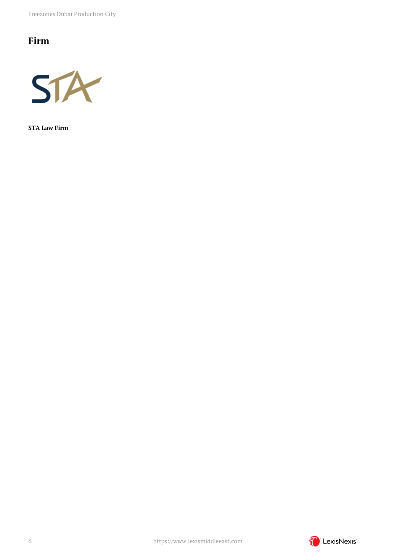Freezones Dubai Production City

## <span id="page-5-0"></span>**Firm**



**STA Law Firm**